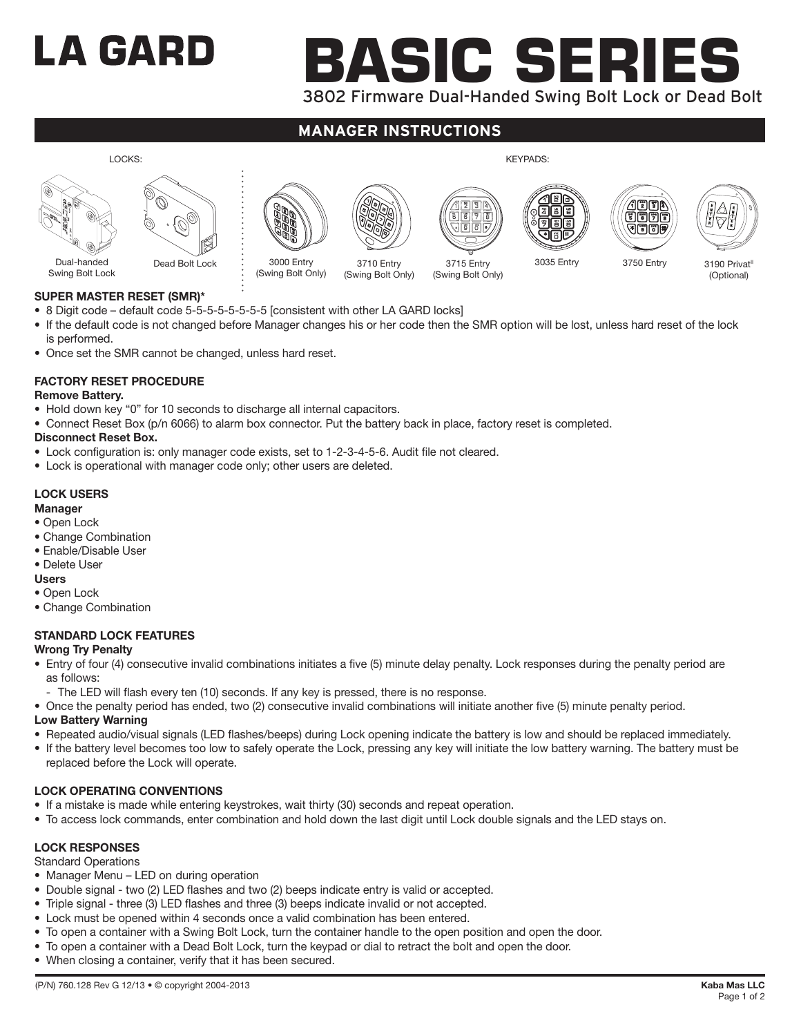# LA GARD

# **Basic series** 3802 Firmware Dual-Handed Swing Bolt Lock or Dead Bolt

# **manager instructions**



# **Super Master Reset (SMR)\***

- 8 Digit code default code 5-5-5-5-5-5-5-5 [consistent with other LA GARD locks]
- If the default code is not changed before Manager changes his or her code then the SMR option will be lost, unless hard reset of the lock is performed.
- Once set the SMR cannot be changed, unless hard reset.

# **Factory Reset Procedure**

## **Remove Battery.**

- Hold down key "0" for 10 seconds to discharge all internal capacitors.
- Connect Reset Box (p/n 6066) to alarm box connector. Put the battery back in place, factory reset is completed.

## **Disconnect Reset Box.**

- Lock configuration is: only manager code exists, set to 1-2-3-4-5-6. Audit file not cleared.
- Lock is operational with manager code only; other users are deleted.

# **LOCK USERS**

#### **Manager**

- Open Lock
- Change Combination
- Enable/Disable User
- Delete User
- **Users**
- Open Lock
- Change Combination

# **STANDARD LOCK FEATURES**

- **Wrong Try Penalty**
- Entry of four (4) consecutive invalid combinations initiates a five (5) minute delay penalty. Lock responses during the penalty period are as follows:
	- The LED will flash every ten (10) seconds. If any key is pressed, there is no response.
- Once the penalty period has ended, two (2) consecutive invalid combinations will initiate another five (5) minute penalty period.

# **Low Battery Warning**

- Repeated audio/visual signals (LED flashes/beeps) during Lock opening indicate the battery is low and should be replaced immediately.
- If the battery level becomes too low to safely operate the Lock, pressing any key will initiate the low battery warning. The battery must be replaced before the Lock will operate.

# **LOCK OPERATING CONVENTIONS**

- If a mistake is made while entering keystrokes, wait thirty (30) seconds and repeat operation.
- To access lock commands, enter combination and hold down the last digit until Lock double signals and the LED stays on.

# **LOCK RESPONSES**

Standard Operations

- Manager Menu LED on during operation
- Double signal two (2) LED flashes and two (2) beeps indicate entry is valid or accepted.
- Triple signal three (3) LED flashes and three (3) beeps indicate invalid or not accepted.
- Lock must be opened within 4 seconds once a valid combination has been entered.
- To open a container with a Swing Bolt Lock, turn the container handle to the open position and open the door.
- To open a container with a Dead Bolt Lock, turn the keypad or dial to retract the bolt and open the door.
- When closing a container, verify that it has been secured.